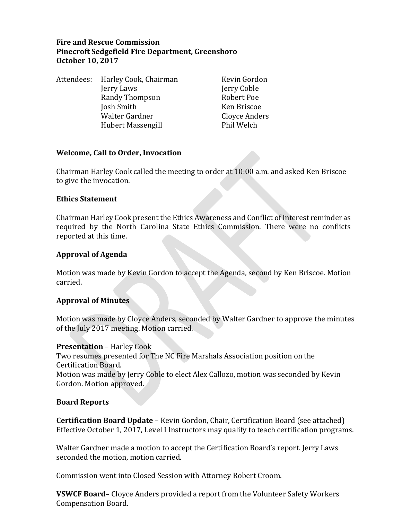# **Fire and Rescue Commission Pinecroft Sedgefield Fire Department, Greensboro October 10, 2017**

|  | Attendees: Harley Cook, Chairman | Kevin Gordon  |
|--|----------------------------------|---------------|
|  | Jerry Laws                       | Jerry Coble   |
|  | Randy Thompson                   | Robert Poe    |
|  | Josh Smith                       | Ken Briscoe   |
|  | Walter Gardner                   | Cloyce Anders |
|  | <b>Hubert Massengill</b>         | Phil Welch    |

#### **Welcome, Call to Order, Invocation**

Chairman Harley Cook called the meeting to order at 10:00 a.m. and asked Ken Briscoe to give the invocation.

#### **Ethics Statement**

Chairman Harley Cook present the Ethics Awareness and Conflict of Interest reminder as required by the North Carolina State Ethics Commission. There were no conflicts reported at this time.

### **Approval of Agenda**

Motion was made by Kevin Gordon to accept the Agenda, second by Ken Briscoe. Motion carried.

### **Approval of Minutes**

Motion was made by Cloyce Anders, seconded by Walter Gardner to approve the minutes of the July 2017 meeting. Motion carried.

#### **Presentation** – Harley Cook

Two resumes presented for The NC Fire Marshals Association position on the Certification Board.

Motion was made by Jerry Coble to elect Alex Callozo, motion was seconded by Kevin Gordon. Motion approved.

#### **Board Reports**

**Certification Board Update** – Kevin Gordon, Chair, Certification Board (see attached) Effective October 1, 2017, Level I Instructors may qualify to teach certification programs.

Walter Gardner made a motion to accept the Certification Board's report. Jerry Laws seconded the motion, motion carried.

Commission went into Closed Session with Attorney Robert Croom.

**VSWCF Board**– Cloyce Anders provided a report from the Volunteer Safety Workers Compensation Board.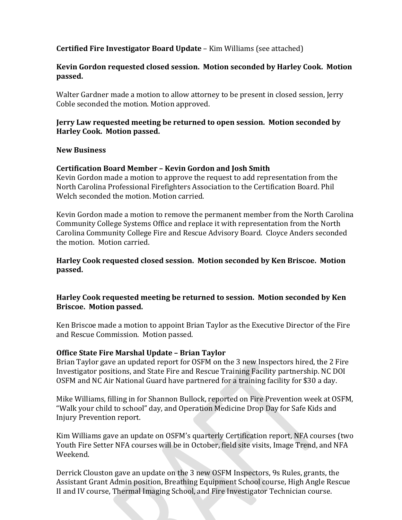# **Certified Fire Investigator Board Update** – Kim Williams (see attached)

## **Kevin Gordon requested closed session. Motion seconded by Harley Cook. Motion passed.**

Walter Gardner made a motion to allow attorney to be present in closed session, Jerry Coble seconded the motion. Motion approved.

## **Jerry Law requested meeting be returned to open session. Motion seconded by Harley Cook. Motion passed.**

### **New Business**

### **Certification Board Member – Kevin Gordon and Josh Smith**

Kevin Gordon made a motion to approve the request to add representation from the North Carolina Professional Firefighters Association to the Certification Board. Phil Welch seconded the motion. Motion carried.

Kevin Gordon made a motion to remove the permanent member from the North Carolina Community College Systems Office and replace it with representation from the North Carolina Community College Fire and Rescue Advisory Board. Cloyce Anders seconded the motion. Motion carried.

## **Harley Cook requested closed session. Motion seconded by Ken Briscoe. Motion passed.**

## **Harley Cook requested meeting be returned to session. Motion seconded by Ken Briscoe. Motion passed.**

Ken Briscoe made a motion to appoint Brian Taylor as the Executive Director of the Fire and Rescue Commission. Motion passed.

### **Office State Fire Marshal Update – Brian Taylor**

Brian Taylor gave an updated report for OSFM on the 3 new Inspectors hired, the 2 Fire Investigator positions, and State Fire and Rescue Training Facility partnership. NC DOI OSFM and NC Air National Guard have partnered for a training facility for \$30 a day.

Mike Williams, filling in for Shannon Bullock, reported on Fire Prevention week at OSFM, "Walk your child to school" day, and Operation Medicine Drop Day for Safe Kids and Injury Prevention report.

Kim Williams gave an update on OSFM's quarterly Certification report, NFA courses (two Youth Fire Setter NFA courses will be in October, field site visits, Image Trend, and NFA Weekend.

Derrick Clouston gave an update on the 3 new OSFM Inspectors, 9s Rules, grants, the Assistant Grant Admin position, Breathing Equipment School course, High Angle Rescue II and IV course, Thermal Imaging School, and Fire Investigator Technician course.